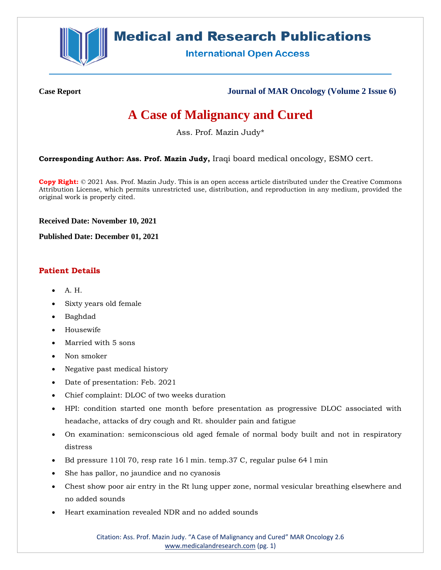

## **Medical and Research Publications**

**International Open Access** 

**Case Report Journal of MAR Oncology (Volume 2 Issue 6)**

# **A Case of Malignancy and Cured**

Ass. Prof. Mazin Judy\*

**Corresponding Author: Ass. Prof. Mazin Judy,** Iraqi board medical oncology, ESMO cert.

**Copy Right:** © 2021 Ass. Prof. Mazin Judy. This is an open access article distributed under the Creative Commons Attribution License, which permits unrestricted use, distribution, and reproduction in any medium, provided the original work is properly cited.

**Received Date: November 10, 2021**

**Published Date: December 01, 2021**

## **Patient Details**

- A. H.
- Sixty years old female
- Baghdad
- Housewife
- Married with 5 sons
- Non smoker
- Negative past medical history
- Date of presentation: Feb. 2021
- Chief complaint: DLOC of two weeks duration
- HPI: condition started one month before presentation as progressive DLOC associated with headache, attacks of dry cough and Rt. shoulder pain and fatigue
- On examination: semiconscious old aged female of normal body built and not in respiratory distress
- Bd pressure 110l 70, resp rate 16 l min. temp.37 C, regular pulse 64 l min
- She has pallor, no jaundice and no cyanosis
- Chest show poor air entry in the Rt lung upper zone, normal vesicular breathing elsewhere and no added sounds
- Heart examination revealed NDR and no added sounds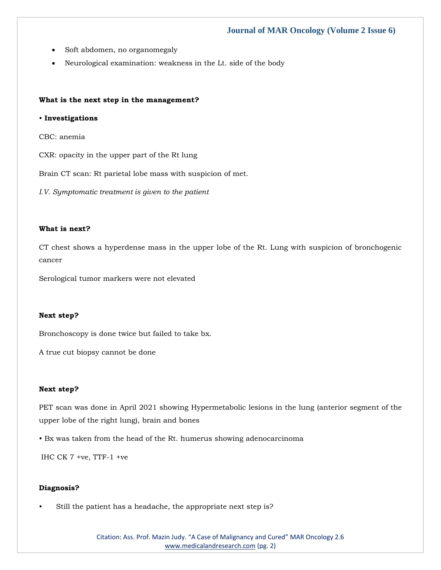- Soft abdomen, no organomegaly
- Neurological examination: weakness in the Lt. side of the body

#### **What is the next step in the management?**

#### • **Investigations**

CBC: anemia

CXR: opacity in the upper part of the Rt lung

Brain CT scan: Rt parietal lobe mass with suspicion of met.

*I.V. Symptomatic treatment is given to the patient*

#### **What is next?**

CT chest shows a hyperdense mass in the upper lobe of the Rt. Lung with suspicion of bronchogenic cancer

Serological tumor markers were not elevated

#### **Next step?**

Bronchoscopy is done twice but failed to take bx.

A true cut biopsy cannot be done

#### **Next step?**

PET scan was done in April 2021 showing Hypermetabolic lesions in the lung (anterior segment of the upper lobe of the right lung), brain and bones

• Bx was taken from the head of the Rt. humerus showing adenocarcinoma

IHC CK 7 +ve, TTF-1 +ve

#### **Diagnosis?**

Still the patient has a headache, the appropriate next step is?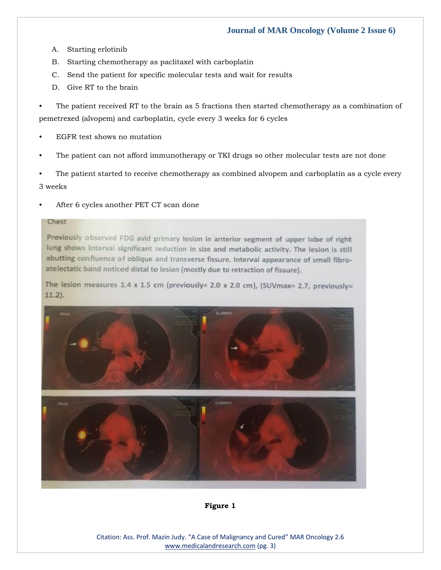- A. Starting erlotinib
- B. Starting chemotherapy as paclitaxel with carboplatin
- C. Send the patient for specific molecular tests and wait for results
- D. Give RT to the brain

The patient received RT to the brain as 5 fractions then started chemotherapy as a combination of pemetrexed (alvopem) and carboplatin, cycle every 3 weeks for 6 cycles

- EGFR test shows no mutation
- The patient can not afford immunotherapy or TKI drugs so other molecular tests are not done

• The patient started to receive chemotherapy as combined alvopem and carboplatin as a cycle every 3 weeks

• After 6 cycles another PET CT scan done

#### Chest

Previously observed FDG avid primary lesion in anterior segment of upper lobe of right lung shows interval significant reduction in size and metabolic activity. The lesion is still abutting confluence of oblique and transverse fissure. Interval appearance of small fibroatelectatic band noticed distal to lesion (mostly due to retraction of fissure).

The lesion measures 1.4 x 1.5 cm (previously= 2.0 x 2.0 cm), (SUVmax= 2.7, previously=  $11.2$ ).



**Figure 1**

Citation: Ass. Prof. Mazin Judy. "A Case of Malignancy and Cured" MAR Oncology 2.6 [www.medicalandresearch.com](http://www.medicalandresearch.com/) (pg. 3)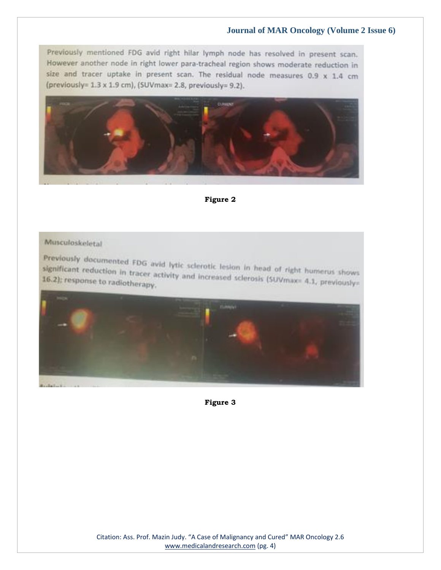Previously mentioned FDG avid right hilar lymph node has resolved in present scan. However another node in right lower para-tracheal region shows moderate reduction in size and tracer uptake in present scan. The residual node measures  $0.9 \times 1.4$  cm (previously= 1.3 x 1.9 cm), (SUVmax= 2.8, previously= 9.2).



**Figure 2**

## Musculoskeletal

Previously documented FDG avid lytic sclerotic lesion in head of right humerus shows<br>significant reduction in tracer activity and increased sclerosic (sus) significant reduction in tracer activity and increased sclerosis (SUVmax= 4.1, previously= 16.2); response to radiotherapy.



**Figure 3**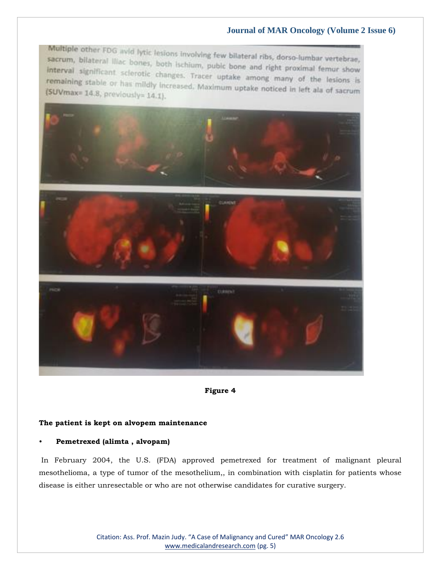Multiple other FDG avid lytic lesions involving few bilateral ribs, dorso-lumbar vertebrae, sacrum, bilateral lilac bones, both ischium, publc bone and right proximal femur show interval significant scierotic changes. Tracer uptake among many of the lesions is remaining stable or has mildly increased. Maximum uptake among many of the lesions is<br>(SUVmax= 14.8, previously= 14.1)  $(SUVmax=14.8, previously=14.1).$ 



**Figure 4**

#### **The patient is kept on alvopem maintenance**

#### • **Pemetrexed (alimta , alvopam)**

In February 2004, the U.S. (FDA) approved pemetrexed for treatment of malignant pleural mesothelioma, a type of tumor of the mesothelium,, in combination with cisplatin for patients whose disease is either unresectable or who are not otherwise candidates for curative surgery.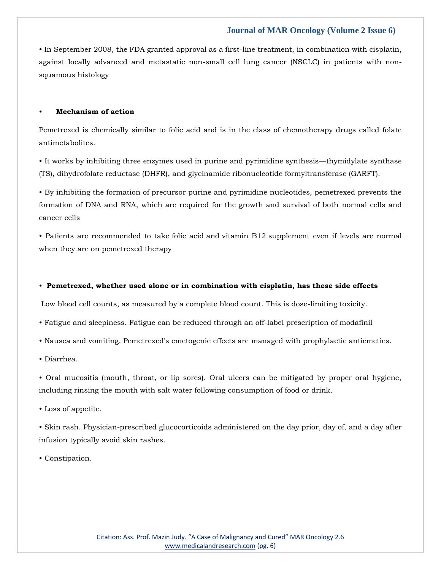• In September 2008, the FDA granted approval as a first-line treatment, in combination with cisplatin, against locally advanced and metastatic non-small cell lung cancer (NSCLC) in patients with nonsquamous histology

#### • **Mechanism of action**

Pemetrexed is chemically similar to folic acid and is in the class of chemotherapy drugs called folate antimetabolites.

• It works by inhibiting three enzymes used in purine and pyrimidine synthesis—thymidylate synthase (TS), dihydrofolate reductase (DHFR), and glycinamide ribonucleotide formyltransferase (GARFT).

• By inhibiting the formation of precursor purine and pyrimidine nucleotides, pemetrexed prevents the formation of DNA and RNA, which are required for the growth and survival of both normal cells and cancer cells

• Patients are recommended to take folic acid and vitamin B12 supplement even if levels are normal when they are on pemetrexed therapy

#### • **Pemetrexed, whether used alone or in combination with cisplatin, has these side effects**

Low blood cell counts, as measured by a complete blood count. This is dose-limiting toxicity.

- Fatigue and sleepiness. Fatigue can be reduced through an off-label prescription of modafinil
- Nausea and vomiting. Pemetrexed's emetogenic effects are managed with prophylactic antiemetics.
- Diarrhea.

• Oral mucositis (mouth, throat, or lip sores). Oral ulcers can be mitigated by proper oral hygiene, including rinsing the mouth with salt water following consumption of food or drink.

• Loss of appetite.

• Skin rash. Physician-prescribed glucocorticoids administered on the day prior, day of, and a day after infusion typically avoid skin rashes.

• Constipation.